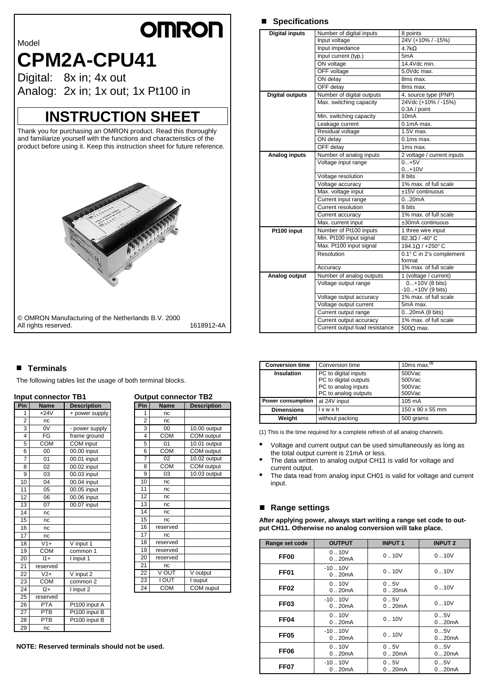# **OMROF**

Model

# **CPM2A-CPU41**

Digital: 8x in; 4x out Analog: 2x in; 1x out; 1x Pt100 in

# **INSTRUCTION SHEET**

Thank you for purchasing an OMRON product. Read this thoroughly and familiarize yourself with the functions and characteristics of the product before using it. Keep this instruction sheet for future reference.



|                        | ON voltage                     | 14.4Vdc min.                                  |
|------------------------|--------------------------------|-----------------------------------------------|
|                        | OFF voltage                    | 5.0Vdc max.                                   |
|                        | ON delay                       | 8ms max.                                      |
|                        | OFF delay                      | 8ms max.                                      |
| <b>Digital outputs</b> | Number of digital outputs      | 4, source type (PNP)                          |
|                        | Max. switching capacity        | 24Vdc (+10% / -15%)<br>0.3A / point           |
|                        | Min. switching capacity        | 10mA                                          |
|                        | Leakage current                | $0.1mAmax$ .                                  |
|                        | Residual voltage               | $1.5V$ max.                                   |
|                        | ON delay                       | $0.1ms$ max.                                  |
|                        | OFF delay                      | 1 <sub>ms max</sub> .                         |
| Analog inputs          | Number of analog inputs        | 2 voltage / current inputs                    |
|                        | Voltage input range            | $0+5V$<br>$0+10V$                             |
|                        | Voltage resolution             | 8 bits                                        |
|                        | Voltage accuracy               | 1% max. of full scale                         |
|                        | Max. voltage input             | ±15V continuous                               |
|                        | Current input range            | 020mA                                         |
|                        | Current resolution             | 8 bits                                        |
|                        | Current accuracy               | 1% max. of full scale                         |
|                        | Max. current input             | ±30mA continuous                              |
| Pt100 input            | Number of Pt100 inputs         | 1 three wire input                            |
|                        | Min. Pt100 input signal        | $82.3\Omega$ / -40° C                         |
|                        | Max. Pt100 input signal        | 194.1Ω / +250° C                              |
|                        | Resolution                     | 0.1° C in 2's complement<br>format            |
|                        | Accuracy                       | 1% max. of full scale                         |
| Analog output          | Number of analog outputs       | 1 (voltage / current)                         |
|                        | Voltage output range           | $0+10V(8 \text{ bits})$<br>$-10+10V$ (9 bits) |
|                        | Voltage output accuracy        | 1% max. of full scale                         |
|                        | Voltage output current         | 5mA max.                                      |
|                        | Current output range           | 020mA (8 bits)                                |
|                        | Current output accuracy        | 1% max. of full scale                         |
|                        | Current output load resistance | $500\Omega$ max.                              |

**Digital inputs** Number of digital inputs 8 points

■ Specifications

Input voltage 24V (+10% / -15%)

Input impedance 4.7kΩ Input current (typ.) 5mA

# ■ Terminals

The following tables list the usage of both terminal blocks.

# **Input connector TB1**

| Pin             | <b>Name</b>      | <b>Description</b>  |
|-----------------|------------------|---------------------|
| 1               | $+24V$           | + power supply      |
| $\overline{2}$  | nc               |                     |
| 3               | 0V               | - power supply      |
| 4               | FG               | frame ground        |
| 5               | <b>COM</b>       | <b>COM</b> input    |
| 6               | $\overline{00}$  | 00.00 input         |
| 7               | 01               | 00.01 input         |
| $\overline{8}$  | $\overline{02}$  | 00.02 input         |
| 9               | $\overline{03}$  | 00.03 input         |
| 10              | $\overline{04}$  | 00.04 input         |
| $\overline{11}$ | 05               | 00.05 input         |
| $\overline{12}$ | 06               | 00.06 input         |
| 13              | $\overline{07}$  | 00.07 input         |
| 14              | nc               |                     |
| 15              | nc               |                     |
| 16              | nc               |                     |
| $\overline{17}$ | nc               |                     |
| 18              | $V1+$            | V input 1           |
| 19              | COM              | common 1            |
| 20              | $11+$            | I input 1           |
| $\overline{21}$ | reserved         |                     |
| $\overline{22}$ | $\overline{V2+}$ | V input 2           |
| 23              | COM              | common <sub>2</sub> |
| 24              | $\overline{12+}$ | I input 2           |
| $\overline{25}$ | reserved         |                     |
| $\overline{26}$ | <b>PTA</b>       | Pt100 input A       |
| $\overline{27}$ | PTB              | Pt100 input B       |
| 28              | PTB              | Pt100 input B       |
| 29              | nc               |                     |

| Pin             | Output connector<br><b>Name</b> | <b>Description</b> |
|-----------------|---------------------------------|--------------------|
| 1               | nc                              |                    |
| $\overline{2}$  | nc                              |                    |
| 3               | 00                              | 10.00 output       |
| 4               | <b>COM</b>                      | COM output         |
| 5               | 01                              | 10.01 output       |
| 6               | <b>COM</b>                      | COM output         |
| 7               | 02                              | 10.02 output       |
| 8               | COM                             | <b>COM</b> output  |
| 9               | 03                              | 10.03 output       |
| 10              | nc                              |                    |
| 11              | nc                              |                    |
| 12              | nc                              |                    |
| 13              | nc                              |                    |
| 14              | nc                              |                    |
| 15              | nc                              |                    |
| 16              | reserved                        |                    |
| 17              | nc                              |                    |
| 18              | reserved                        |                    |
| 19              | reserved                        |                    |
| $\overline{2}0$ | reserved                        |                    |
| 21              | nc                              |                    |
| 22              | V OUT                           | V output           |
| 23              | I OUT                           | I ouput            |
| 24              | <b>COM</b>                      | COM ouput          |

**NOTE: Reserved terminals should not be used.**

# **Output connector TB2**

| 1              | nc         |                   |
|----------------|------------|-------------------|
| $\overline{2}$ | nc         |                   |
| 3              | 00         | 10.00 output      |
| 4              | COM        | <b>COM</b> output |
| 5              | 01         | 10.01 output      |
| 6              | COM        | COM output        |
| 7              | 02         | 10.02 output      |
| 8              | <b>COM</b> | <b>COM</b> output |
| 9              | 03         | 10.03 output      |
| 10             | nc         |                   |
| 11             | nc         |                   |
| 12             | nc         |                   |
| 13             | nc         |                   |
| 14             | nc         |                   |
| 15             | nc         |                   |
| 16             | reserved   |                   |
| 17             | nc         |                   |
| 18             | reserved   |                   |
| 19             | reserved   |                   |
| 20             | reserved   |                   |
| 21             | nc         |                   |
| 22             | V OUT      | V output          |
| 23             | I OUT      | I ouput           |
| 24             | <b>COM</b> | COM ouput         |

### **Conversion time** Conversion time 10ms max. **(1) Insulation** PC to digital inputs PC to digital outputs PC to analog inputs PC to analog outputs<br>at 24V input 500Vac 500Vac 500Vac 500Vac **Power consumption** at 24V input 105 mA **Dimensions** l x w x h 150 x 90 x 55 mm **Weight** | without packing **Weight** 500 grams

(1) This is the time required for a complete refresh of all analog channels.

- Voltage and current output can be used simultaneously as long as the total output current is 21mA or less.
- The data written to analog output CH11 is valid for voltage and current output.
- The data read from analog input CH01 is valid for voltage and current input.

# ■ Range settings

**After applying power, always start writing a range set code to output CH11. Otherwise no analog conversion will take place.**

| Range set code   | <b>OUTPUT</b>       | <b>INPUT1</b>       | <b>INPUT 2</b> |
|------------------|---------------------|---------------------|----------------|
| FF <sub>00</sub> | 0.10V<br>0.20mA     | 0.10V               | 010V           |
| FF <sub>01</sub> | $-10.10V$<br>0.20mA | 0.10V               | 010V           |
| <b>FF02</b>      | 0.10V<br>0.20mA     | 0.5V<br>020mA       | 010V           |
| <b>FF03</b>      | $-10.10V$<br>0.20mA | 0.5V<br>020mA       | 010V           |
| FF <sub>04</sub> | 0.10V<br>0.20mA     | 0.10V               | 05V<br>020mA   |
| <b>FF05</b>      | $-10.10V$<br>020mA  | 0.10V               | 05V<br>020mA   |
| FF <sub>06</sub> | 0.10V<br>020mA      | 0.5V<br>020mA       | 05V<br>020mA   |
| FF <sub>07</sub> | $-1010V$<br>0.20mA  | 0.5V<br>$01$ . 20mA | 05V<br>020mA   |